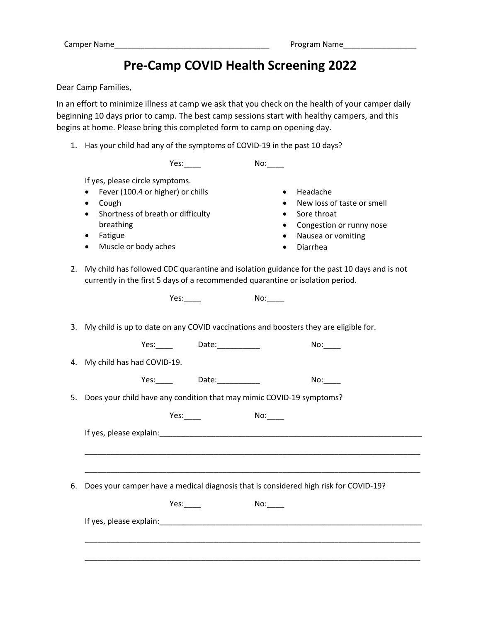## **Pre-Camp COVID Health Screening 2022**

Dear Camp Families,

In an effort to minimize illness at camp we ask that you check on the health of your camper daily beginning 10 days prior to camp. The best camp sessions start with healthy campers, and this begins at home. Please bring this completed form to camp on opening day.

1. Has your child had any of the symptoms of COVID-19 in the past 10 days?

|    | Yes:                                                                                                                                                                                                                                                                                                                                                                                                                                                                |  |  |  |  |
|----|---------------------------------------------------------------------------------------------------------------------------------------------------------------------------------------------------------------------------------------------------------------------------------------------------------------------------------------------------------------------------------------------------------------------------------------------------------------------|--|--|--|--|
| 2. | If yes, please circle symptoms.<br>Fever (100.4 or higher) or chills<br>Headache<br>$\bullet$<br>New loss of taste or smell<br>Cough<br>٠<br>Shortness of breath or difficulty<br>Sore throat<br>$\bullet$<br>$\bullet$<br>breathing<br>Congestion or runny nose<br>Fatigue<br>Nausea or vomiting<br>٠<br>Muscle or body aches<br>Diarrhea<br>$\bullet$<br>$\bullet$<br>My child has followed CDC quarantine and isolation guidance for the past 10 days and is not |  |  |  |  |
|    | currently in the first 5 days of a recommended quarantine or isolation period.                                                                                                                                                                                                                                                                                                                                                                                      |  |  |  |  |
|    |                                                                                                                                                                                                                                                                                                                                                                                                                                                                     |  |  |  |  |
| 3. | My child is up to date on any COVID vaccinations and boosters they are eligible for.                                                                                                                                                                                                                                                                                                                                                                                |  |  |  |  |
|    | Yes: Date: 1990<br>No:                                                                                                                                                                                                                                                                                                                                                                                                                                              |  |  |  |  |
| 4. | My child has had COVID-19.                                                                                                                                                                                                                                                                                                                                                                                                                                          |  |  |  |  |
|    | Yes: Date: Date:<br>No:                                                                                                                                                                                                                                                                                                                                                                                                                                             |  |  |  |  |
|    | 5. Does your child have any condition that may mimic COVID-19 symptoms?                                                                                                                                                                                                                                                                                                                                                                                             |  |  |  |  |
|    | Yes.                                                                                                                                                                                                                                                                                                                                                                                                                                                                |  |  |  |  |
|    | If yes, please explain: The according to the set of the set of the set of the set of the set of the set of the                                                                                                                                                                                                                                                                                                                                                      |  |  |  |  |
|    |                                                                                                                                                                                                                                                                                                                                                                                                                                                                     |  |  |  |  |
|    |                                                                                                                                                                                                                                                                                                                                                                                                                                                                     |  |  |  |  |
| 6. | Does your camper have a medical diagnosis that is considered high risk for COVID-19?                                                                                                                                                                                                                                                                                                                                                                                |  |  |  |  |
|    | No:<br>Yes:                                                                                                                                                                                                                                                                                                                                                                                                                                                         |  |  |  |  |
|    |                                                                                                                                                                                                                                                                                                                                                                                                                                                                     |  |  |  |  |
|    |                                                                                                                                                                                                                                                                                                                                                                                                                                                                     |  |  |  |  |
|    |                                                                                                                                                                                                                                                                                                                                                                                                                                                                     |  |  |  |  |
|    |                                                                                                                                                                                                                                                                                                                                                                                                                                                                     |  |  |  |  |